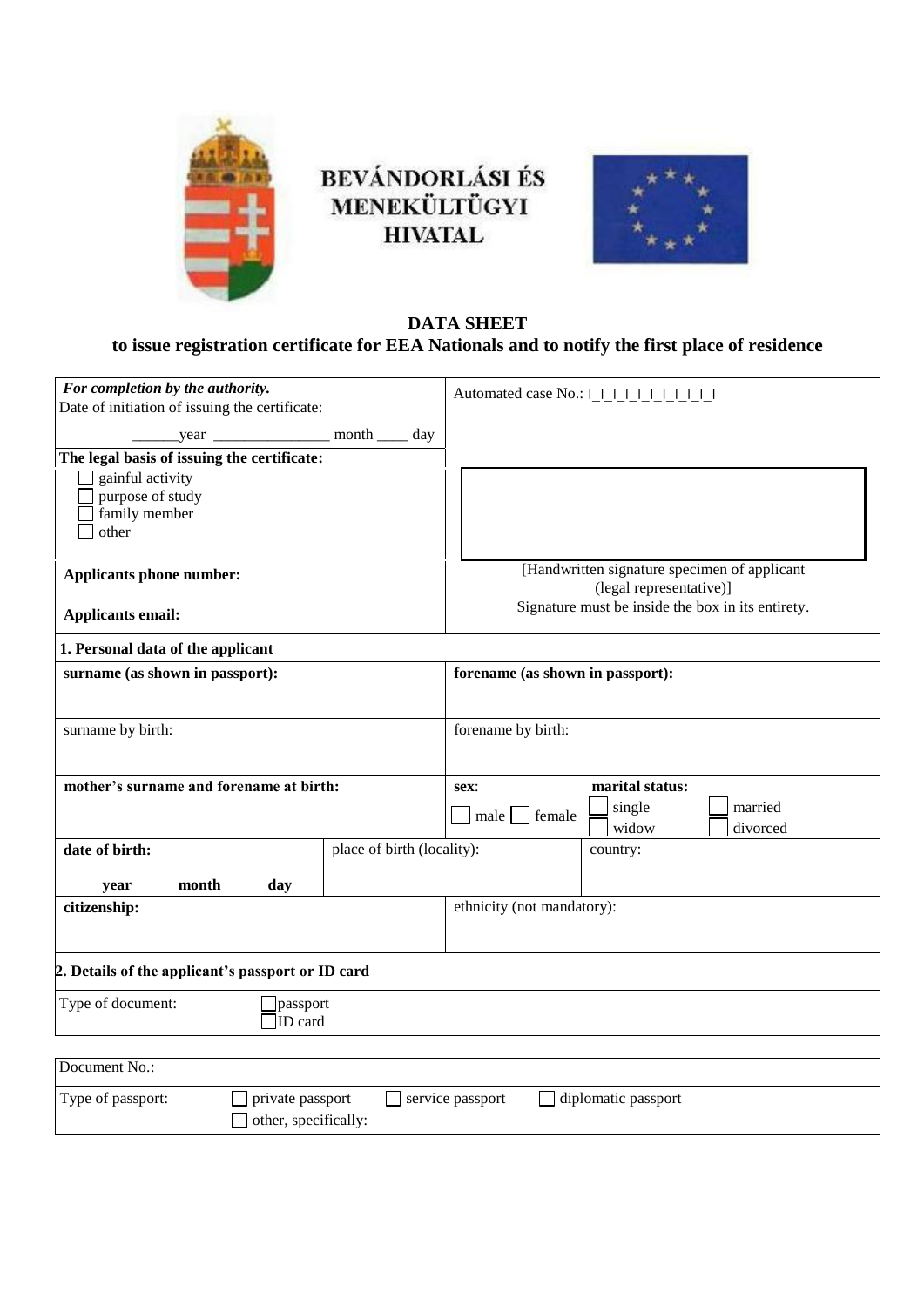

## BEVÁNDORLÁSI ÉS<br>MENEKÜLTÜGYI **HIVATAL**



## **DATA SHEET to issue registration certificate for EEA Nationals and to notify the first place of residence**

| For completion by the authority.<br>Date of initiation of issuing the certificate:      |                            | Automated case No.: 1 1 1 1 1 1 1 1 1                                   |                   |  |
|-----------------------------------------------------------------------------------------|----------------------------|-------------------------------------------------------------------------|-------------------|--|
|                                                                                         |                            |                                                                         |                   |  |
|                                                                                         |                            |                                                                         |                   |  |
| The legal basis of issuing the certificate:                                             |                            |                                                                         |                   |  |
| gainful activity                                                                        |                            |                                                                         |                   |  |
| purpose of study                                                                        |                            |                                                                         |                   |  |
| family member                                                                           |                            |                                                                         |                   |  |
| other                                                                                   |                            |                                                                         |                   |  |
|                                                                                         |                            |                                                                         |                   |  |
| <b>Applicants phone number:</b>                                                         |                            | [Handwritten signature specimen of applicant<br>(legal representative)] |                   |  |
| <b>Applicants email:</b>                                                                |                            | Signature must be inside the box in its entirety.                       |                   |  |
| 1. Personal data of the applicant                                                       |                            |                                                                         |                   |  |
| surname (as shown in passport):                                                         |                            | forename (as shown in passport):                                        |                   |  |
|                                                                                         |                            |                                                                         |                   |  |
|                                                                                         |                            |                                                                         |                   |  |
| surname by birth:                                                                       |                            | forename by birth:                                                      |                   |  |
|                                                                                         |                            |                                                                         |                   |  |
|                                                                                         |                            |                                                                         | marital status:   |  |
| mother's surname and forename at birth:                                                 |                            | sex:                                                                    |                   |  |
|                                                                                         |                            | female<br>male                                                          | single<br>married |  |
|                                                                                         |                            |                                                                         | widow<br>divorced |  |
| date of birth:                                                                          | place of birth (locality): |                                                                         | country:          |  |
|                                                                                         |                            |                                                                         |                   |  |
| month<br>day<br>year                                                                    |                            |                                                                         |                   |  |
| citizenship:                                                                            |                            | ethnicity (not mandatory):                                              |                   |  |
|                                                                                         |                            |                                                                         |                   |  |
|                                                                                         |                            |                                                                         |                   |  |
| 2. Details of the applicant's passport or ID card                                       |                            |                                                                         |                   |  |
| Type of document:<br>passport                                                           |                            |                                                                         |                   |  |
| ID card                                                                                 |                            |                                                                         |                   |  |
|                                                                                         |                            |                                                                         |                   |  |
| Document No.:                                                                           |                            |                                                                         |                   |  |
|                                                                                         |                            |                                                                         |                   |  |
| Type of passport:<br>private passport<br>service passport<br>$\Box$ diplomatic passport |                            |                                                                         |                   |  |
| other, specifically:                                                                    |                            |                                                                         |                   |  |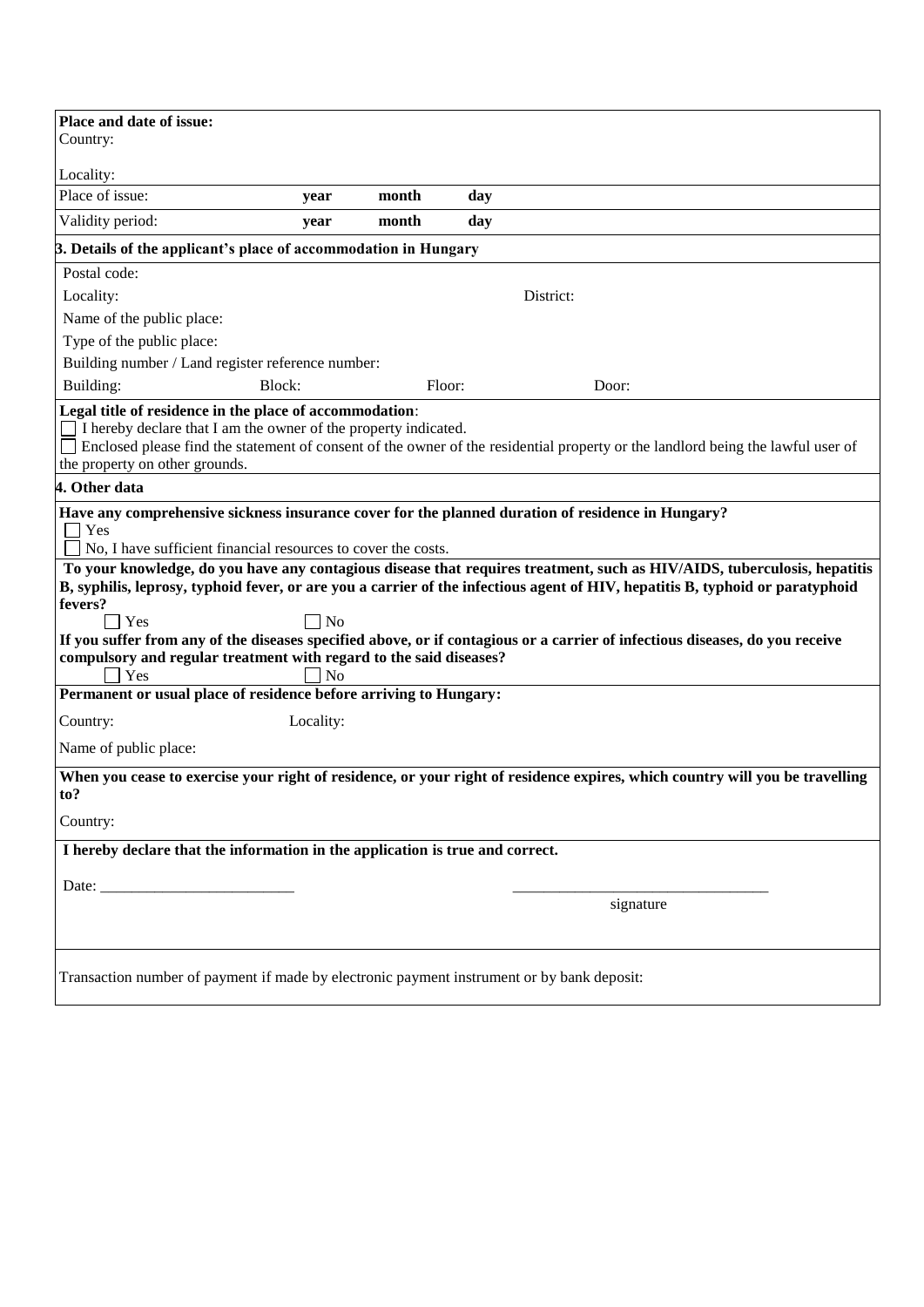| Place and date of issue:                                                                                                                                                                                                                                                                                                                                                                                                                                                                                                                                                                                                                                                                                            |           |        |     |           |           |  |  |
|---------------------------------------------------------------------------------------------------------------------------------------------------------------------------------------------------------------------------------------------------------------------------------------------------------------------------------------------------------------------------------------------------------------------------------------------------------------------------------------------------------------------------------------------------------------------------------------------------------------------------------------------------------------------------------------------------------------------|-----------|--------|-----|-----------|-----------|--|--|
| Country:                                                                                                                                                                                                                                                                                                                                                                                                                                                                                                                                                                                                                                                                                                            |           |        |     |           |           |  |  |
| Locality:                                                                                                                                                                                                                                                                                                                                                                                                                                                                                                                                                                                                                                                                                                           |           |        |     |           |           |  |  |
| Place of issue:                                                                                                                                                                                                                                                                                                                                                                                                                                                                                                                                                                                                                                                                                                     | year      | month  | day |           |           |  |  |
| Validity period:                                                                                                                                                                                                                                                                                                                                                                                                                                                                                                                                                                                                                                                                                                    | year      | month  | day |           |           |  |  |
| 3. Details of the applicant's place of accommodation in Hungary                                                                                                                                                                                                                                                                                                                                                                                                                                                                                                                                                                                                                                                     |           |        |     |           |           |  |  |
| Postal code:                                                                                                                                                                                                                                                                                                                                                                                                                                                                                                                                                                                                                                                                                                        |           |        |     |           |           |  |  |
| Locality:                                                                                                                                                                                                                                                                                                                                                                                                                                                                                                                                                                                                                                                                                                           |           |        |     | District: |           |  |  |
| Name of the public place:                                                                                                                                                                                                                                                                                                                                                                                                                                                                                                                                                                                                                                                                                           |           |        |     |           |           |  |  |
| Type of the public place:                                                                                                                                                                                                                                                                                                                                                                                                                                                                                                                                                                                                                                                                                           |           |        |     |           |           |  |  |
| Building number / Land register reference number:                                                                                                                                                                                                                                                                                                                                                                                                                                                                                                                                                                                                                                                                   |           |        |     |           |           |  |  |
| Building:<br>Block:                                                                                                                                                                                                                                                                                                                                                                                                                                                                                                                                                                                                                                                                                                 |           | Floor: |     |           | Door:     |  |  |
| Legal title of residence in the place of accommodation:<br>I hereby declare that I am the owner of the property indicated.<br>Enclosed please find the statement of consent of the owner of the residential property or the landlord being the lawful user of<br>the property on other grounds.                                                                                                                                                                                                                                                                                                                                                                                                                     |           |        |     |           |           |  |  |
| 4. Other data                                                                                                                                                                                                                                                                                                                                                                                                                                                                                                                                                                                                                                                                                                       |           |        |     |           |           |  |  |
| Have any comprehensive sickness insurance cover for the planned duration of residence in Hungary?<br>Yes<br>No, I have sufficient financial resources to cover the costs.<br>To your knowledge, do you have any contagious disease that requires treatment, such as HIV/AIDS, tuberculosis, hepatitis<br>B, syphilis, leprosy, typhoid fever, or are you a carrier of the infectious agent of HIV, hepatitis B, typhoid or paratyphoid<br>fevers?<br>$\exists$ Yes<br>N <sub>o</sub><br>If you suffer from any of the diseases specified above, or if contagious or a carrier of infectious diseases, do you receive<br>compulsory and regular treatment with regard to the said diseases?<br>Yes<br>N <sub>o</sub> |           |        |     |           |           |  |  |
| Permanent or usual place of residence before arriving to Hungary:                                                                                                                                                                                                                                                                                                                                                                                                                                                                                                                                                                                                                                                   |           |        |     |           |           |  |  |
| Country:                                                                                                                                                                                                                                                                                                                                                                                                                                                                                                                                                                                                                                                                                                            | Locality: |        |     |           |           |  |  |
| Name of public place:                                                                                                                                                                                                                                                                                                                                                                                                                                                                                                                                                                                                                                                                                               |           |        |     |           |           |  |  |
| When you cease to exercise your right of residence, or your right of residence expires, which country will you be travelling<br>to?<br>Country:                                                                                                                                                                                                                                                                                                                                                                                                                                                                                                                                                                     |           |        |     |           |           |  |  |
| I hereby declare that the information in the application is true and correct.                                                                                                                                                                                                                                                                                                                                                                                                                                                                                                                                                                                                                                       |           |        |     |           |           |  |  |
|                                                                                                                                                                                                                                                                                                                                                                                                                                                                                                                                                                                                                                                                                                                     |           |        |     |           |           |  |  |
|                                                                                                                                                                                                                                                                                                                                                                                                                                                                                                                                                                                                                                                                                                                     |           |        |     |           |           |  |  |
|                                                                                                                                                                                                                                                                                                                                                                                                                                                                                                                                                                                                                                                                                                                     |           |        |     |           | signature |  |  |
| Transaction number of payment if made by electronic payment instrument or by bank deposit:                                                                                                                                                                                                                                                                                                                                                                                                                                                                                                                                                                                                                          |           |        |     |           |           |  |  |